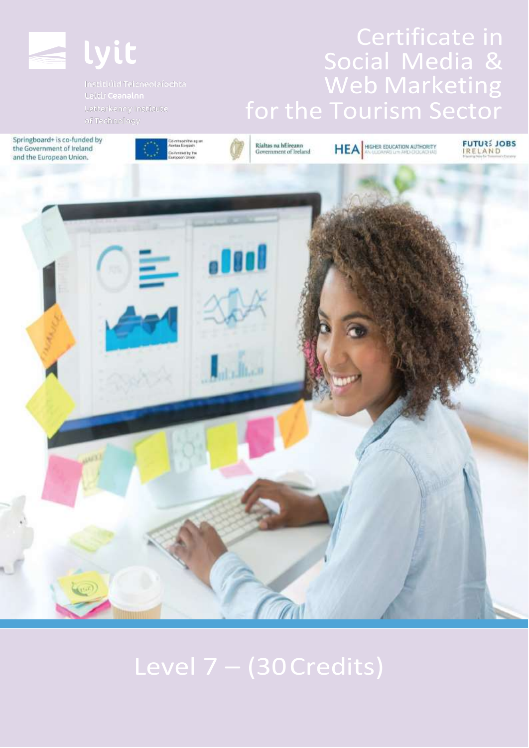

Springboard+ is co-funded by the Government of Ireland





# Social Media & Web Marketing

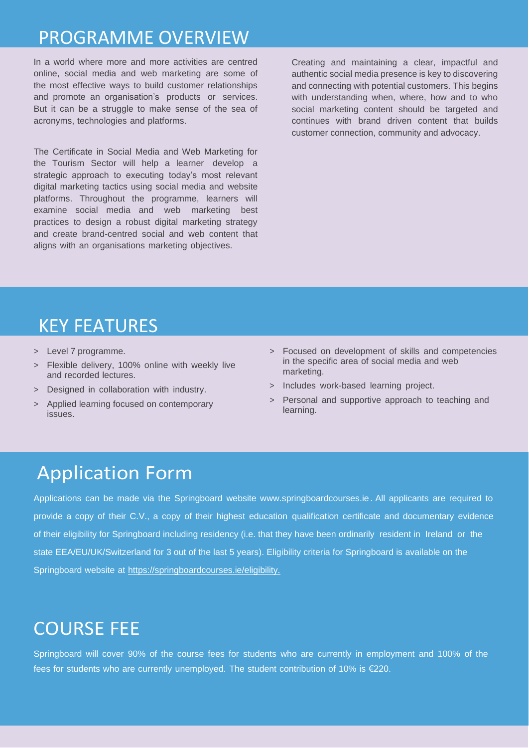## PROGRAMME OVERVIEW

In a world where more and more activities are centred online, social media and web marketing are some of the most effective ways to build customer relationships and promote an organisation's products or services. But it can be a struggle to make sense of the sea of acronyms, technologies and platforms.

The Certificate in Social Media and Web Marketing for the Tourism Sector will help a learner develop a strategic approach to executing today's most relevant digital marketing tactics using social media and website platforms. Throughout the programme, learners will examine social media and web marketing best practices to design a robust digital marketing strategy and create brand-centred social and web content that aligns with an organisations marketing objectives.

Creating and maintaining a clear, impactful and authentic social media presence is key to discovering and connecting with potential customers. This begins with understanding when, where, how and to who social marketing content should be targeted and continues with brand driven content that builds customer connection, community and advocacy.

#### KEY FEATURES

- > Level 7 programme.
- > Flexible delivery, 100% online with weekly live and recorded lectures.
- > Designed in collaboration with industry.
- Applied learning focused on contemporary issues.
- > Focused on development of skills and competencies in the specific area of social media and web marketing.
- > Includes work-based learning project.
- > Personal and supportive approach to teaching and learning.

### Application Form

Applications can be made via the Springboard website [www.springboardcourses.ie](http://www.springboardcourses.ie/) . All applicants are required to provide a copy of their C.V., a copy of their highest education qualification certificate and documentary evidence of their eligibility for Springboard including residency (i.e. that they have been ordinarily resident in Ireland or the state EEA/EU/UK/Switzerland for 3 out of the last 5 years). Eligibility criteria for Springboard is available on the Springboard website at [https://springboardcourses.ie/eligibility.](https://springboardcourses.ie/eligibility)

## COURSE FEE

Springboard will cover 90% of the course fees for students who are currently in employment and 100% of the fees for students who are currently unemployed. The student contribution of 10% is €220.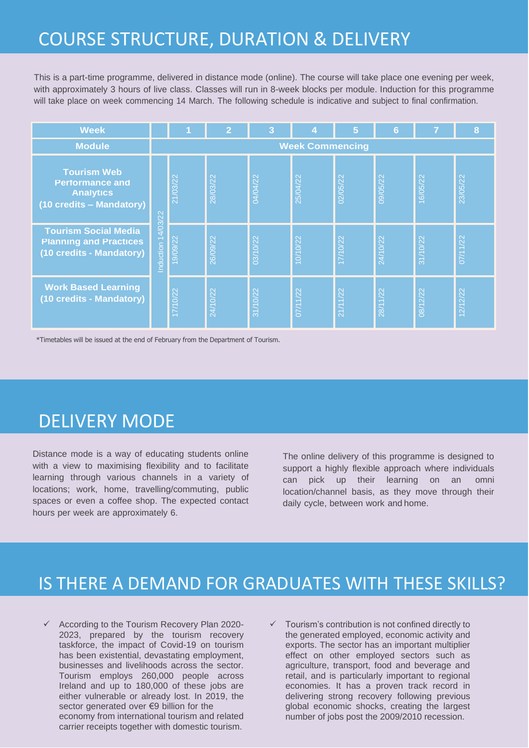## COURSE STRUCTURE, DURATION & DELIVERY

This is a part-time programme, delivered in distance mode (online). The course will take place one evening per week, with approximately 3 hours of live class. Classes will run in 8-week blocks per module. Induction for this programme will take place on week commencing 14 March. The following schedule is indicative and subject to final confirmation.

| <b>Week</b>                                                                                  |                        |          | $\mathbf{2}$ | 3        | 4                    | 5        | 6        |          | 8                     |
|----------------------------------------------------------------------------------------------|------------------------|----------|--------------|----------|----------------------|----------|----------|----------|-----------------------|
| <b>Module</b>                                                                                | <b>Week Commencing</b> |          |              |          |                      |          |          |          |                       |
| <b>Tourism Web</b><br><b>Performance and</b><br><b>Analytics</b><br>(10 credits - Mandatory) | Induction 14/03/22     | 21/03/22 | 28/03/22     | 04/04/22 | 25/04/22             | 02/05/22 | 09/05/22 | 16/05/22 | 23/05/22              |
| <b>Tourism Social Media</b><br><b>Planning and Practices</b><br>(10 credits - Mandatory)     |                        | 19/09/22 | 26/09/22     | 03/10/22 | 10/10/22             | 17/10/22 | 24/10/22 | 31/10/22 | $\overline{07/11/22}$ |
| <b>Work Based Learning</b><br>(10 credits - Mandatory)                                       |                        | 17/10/22 | 24/10/22     | 31/10/22 | $\frac{1}{07/11/22}$ | 21/11/22 | 28/11/22 | 08/12/22 | 12/12/22              |

\*Timetables will be issued at the end of February from the Department of Tourism.

### DELIVERY MODE

Distance mode is a way of educating students online with a view to maximising flexibility and to facilitate learning through various channels in a variety of locations; work, home, travelling/commuting, public spaces or even a coffee shop. The expected contact hours per week are approximately 6.

The online delivery of this programme is designed to support a highly flexible approach where individuals can pick up their learning on an omni location/channel basis, as they move through their daily cycle, between work and home.

#### IS THERE A DEMAND FOR GRADUATES WITH THESE SKILLS?

- ✓ According to the Tourism Recovery Plan 2020- 2023, prepared by the tourism recovery taskforce, the impact of Covid-19 on tourism has been existential, devastating employment, businesses and livelihoods across the sector. Tourism employs 260,000 people across Ireland and up to 180,000 of these jobs are either vulnerable or already lost. In 2019, the sector generated over €9 billion for the economy from international tourism and related carrier receipts together with domestic tourism.
- ✓ Tourism's contribution is not confined directly to the generated employed, economic activity and exports. The sector has an important multiplier effect on other employed sectors such as agriculture, transport, food and beverage and retail, and is particularly important to regional economies. It has a proven track record in delivering strong recovery following previous global economic shocks, creating the largest number of jobs post the 2009/2010 recession.